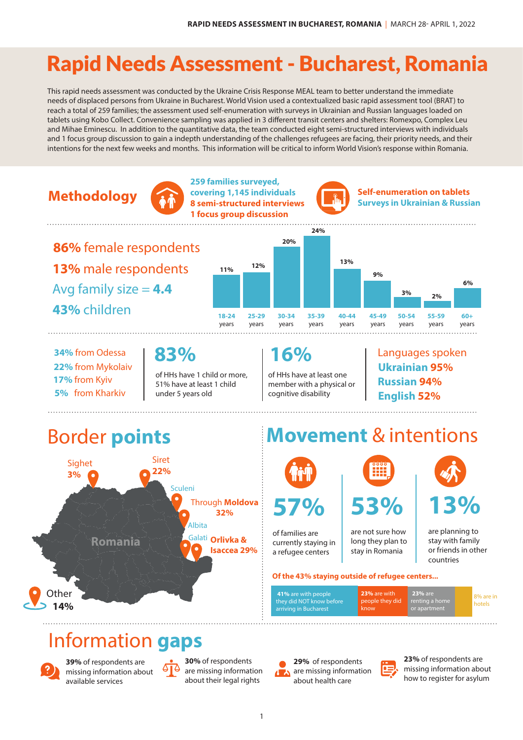## Rapid Needs Assessment - Bucharest, Romania

This rapid needs assessment was conducted by the Ukraine Crisis Response MEAL team to better understand the immediate needs of displaced persons from Ukraine in Bucharest. World Vision used a contextualized basic rapid assessment tool (BRAT) to reach a total of 259 families; the assessment used self-enumeration with surveys in Ukrainian and Russian languages loaded on tablets using Kobo Collect. Convenience sampling was applied in 3 different transit centers and shelters: Romexpo, Complex Leu and Mihae Eminescu. In addition to the quantitative data, the team conducted eight semi-structured interviews with individuals and 1 focus group discussion to gain a indepth understanding of the challenges refugees are facing, their priority needs, and their intentions for the next few weeks and months. This information will be critical to inform World Vision's response within Romania.



## Information **gaps**



**39%** of respondents are missing information about available services

**30%** of respondents are missing information about their legal rights

**29%** of respondents are missing information about health care



**23%** of respondents are missing information about how to register for asylum